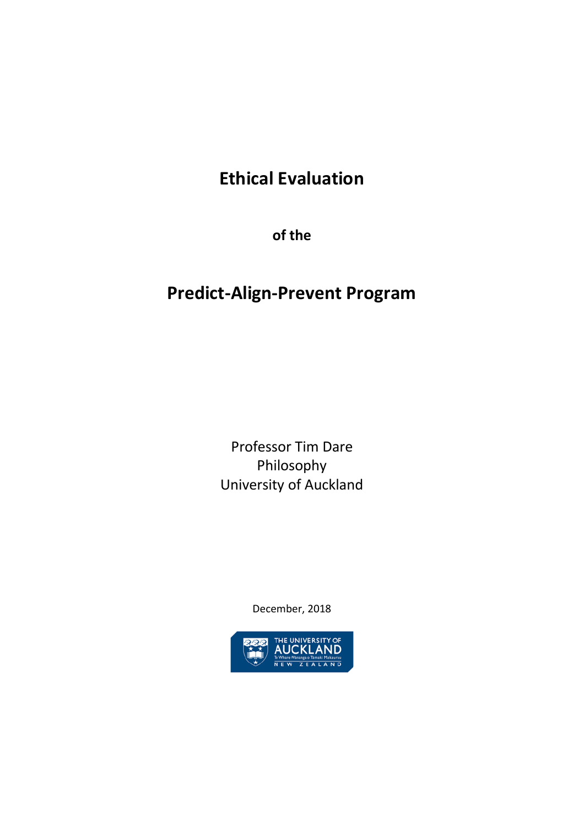# **Ethical Evaluation**

**of the** 

# **Predict-Align-Prevent Program**

Professor Tim Dare Philosophy University of Auckland

December, 2018

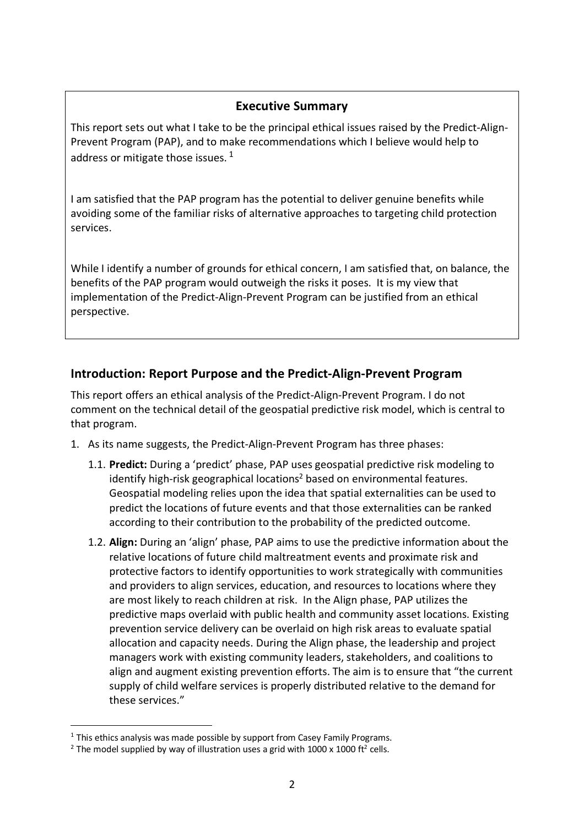## **Executive Summary**

This report sets out what I take to be the principal ethical issues raised by the Predict-Align-Prevent Program (PAP), and to make recommendations which I believe would help to address or mitigate those issues.  $1$ 

I am satisfied that the PAP program has the potential to deliver genuine benefits while avoiding some of the familiar risks of alternative approaches to targeting child protection services.

While I identify a number of grounds for ethical concern, I am satisfied that, on balance, the benefits of the PAP program would outweigh the risks it poses. It is my view that implementation of the Predict-Align-Prevent Program can be justified from an ethical perspective.

# **Introduction: Report Purpose and the Predict-Align-Prevent Program**

This report offers an ethical analysis of the Predict-Align-Prevent Program. I do not comment on the technical detail of the geospatial predictive risk model, which is central to that program.

- 1. As its name suggests, the Predict-Align-Prevent Program has three phases:
	- 1.1. **Predict:** During a 'predict' phase, PAP uses geospatial predictive risk modeling to identify high-risk geographical locations<sup>2</sup> based on environmental features. Geospatial modeling relies upon the idea that spatial externalities can be used to predict the locations of future events and that those externalities can be ranked according to their contribution to the probability of the predicted outcome.
	- 1.2. **Align:** During an 'align' phase, PAP aims to use the predictive information about the relative locations of future child maltreatment events and proximate risk and protective factors to identify opportunities to work strategically with communities and providers to align services, education, and resources to locations where they are most likely to reach children at risk. In the Align phase, PAP utilizes the predictive maps overlaid with public health and community asset locations. Existing prevention service delivery can be overlaid on high risk areas to evaluate spatial allocation and capacity needs. During the Align phase, the leadership and project managers work with existing community leaders, stakeholders, and coalitions to align and augment existing prevention efforts. The aim is to ensure that "the current supply of child welfare services is properly distributed relative to the demand for these services."

 $\overline{a}$  $1$  This ethics analysis was made possible by support from Casey Family Programs.

<sup>&</sup>lt;sup>2</sup> The model supplied by way of illustration uses a grid with 1000 x 1000 ft<sup>2</sup> cells.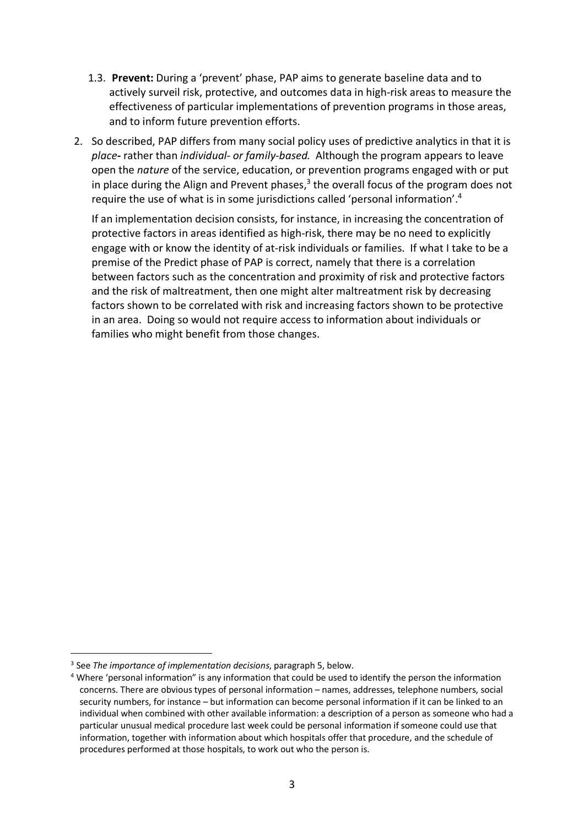- 1.3. **Prevent:** During a 'prevent' phase, PAP aims to generate baseline data and to actively surveil risk, protective, and outcomes data in high-risk areas to measure the effectiveness of particular implementations of prevention programs in those areas, and to inform future prevention efforts.
- 2. So described, PAP differs from many social policy uses of predictive analytics in that it is *place-* rather than *individual- or family-based.*Although the program appears to leave open the *nature* of the service, education, or prevention programs engaged with or put in place during the Align and Prevent phases,<sup>3</sup> the overall focus of the program does not require the use of what is in some jurisdictions called 'personal information'. 4

If an implementation decision consists, for instance, in increasing the concentration of protective factors in areas identified as high-risk, there may be no need to explicitly engage with or know the identity of at-risk individuals or families. If what I take to be a premise of the Predict phase of PAP is correct, namely that there is a correlation between factors such as the concentration and proximity of risk and protective factors and the risk of maltreatment, then one might alter maltreatment risk by decreasing factors shown to be correlated with risk and increasing factors shown to be protective in an area. Doing so would not require access to information about individuals or families who might benefit from those changes.

 $\overline{a}$ 

<sup>3</sup> See *The importance of implementation decisions*, paragraph 5, below.

<sup>4</sup> Where 'personal information" is any information that could be used to identify the person the information concerns. There are obvious types of personal information – names, addresses, telephone numbers, social security numbers, for instance – but information can become personal information if it can be linked to an individual when combined with other available information: a description of a person as someone who had a particular unusual medical procedure last week could be personal information if someone could use that information, together with information about which hospitals offer that procedure, and the schedule of procedures performed at those hospitals, to work out who the person is.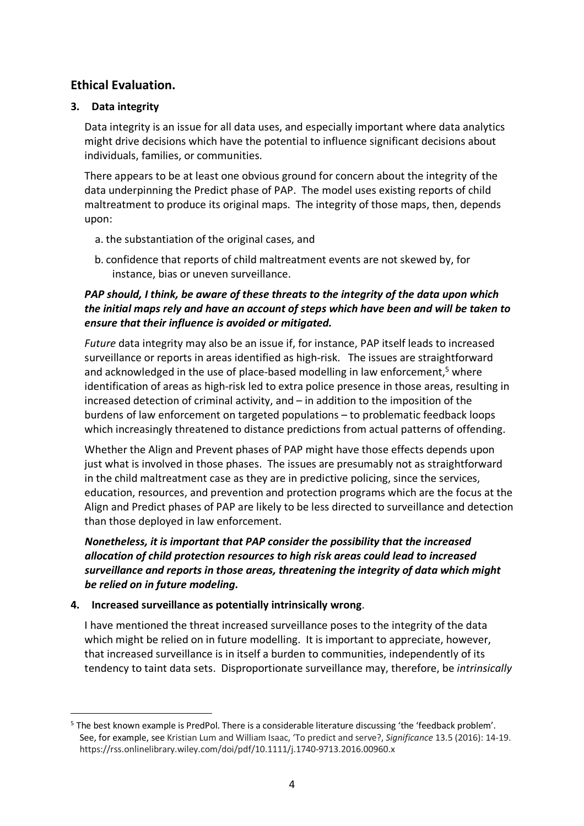## **Ethical Evaluation.**

## **3. Data integrity**

Data integrity is an issue for all data uses, and especially important where data analytics might drive decisions which have the potential to influence significant decisions about individuals, families, or communities.

There appears to be at least one obvious ground for concern about the integrity of the data underpinning the Predict phase of PAP. The model uses existing reports of child maltreatment to produce its original maps. The integrity of those maps, then, depends upon:

- a. the substantiation of the original cases, and
- b. confidence that reports of child maltreatment events are not skewed by, for instance, bias or uneven surveillance.

## *PAP should, I think, be aware of these threats to the integrity of the data upon which the initial maps rely and have an account of steps which have been and will be taken to ensure that their influence is avoided or mitigated.*

*Future* data integrity may also be an issue if, for instance, PAP itself leads to increased surveillance or reports in areas identified as high-risk. The issues are straightforward and acknowledged in the use of place-based modelling in law enforcement, $5$  where identification of areas as high-risk led to extra police presence in those areas, resulting in increased detection of criminal activity, and – in addition to the imposition of the burdens of law enforcement on targeted populations – to problematic feedback loops which increasingly threatened to distance predictions from actual patterns of offending.

Whether the Align and Prevent phases of PAP might have those effects depends upon just what is involved in those phases. The issues are presumably not as straightforward in the child maltreatment case as they are in predictive policing, since the services, education, resources, and prevention and protection programs which are the focus at the Align and Predict phases of PAP are likely to be less directed to surveillance and detection than those deployed in law enforcement.

*Nonetheless, it is important that PAP consider the possibility that the increased allocation of child protection resources to high risk areas could lead to increased surveillance and reports in those areas, threatening the integrity of data which might be relied on in future modeling.*

## **4. Increased surveillance as potentially intrinsically wrong**.

I have mentioned the threat increased surveillance poses to the integrity of the data which might be relied on in future modelling. It is important to appreciate, however, that increased surveillance is in itself a burden to communities, independently of its tendency to taint data sets. Disproportionate surveillance may, therefore, be *intrinsically*

 $\overline{a}$ <sup>5</sup> The best known example is PredPol. There is a considerable literature discussing 'the 'feedback problem'. See, for example, see Kristian Lum and William Isaac, 'To predict and serve?, *Significance* 13.5 (2016): 14-19. https://rss.onlinelibrary.wiley.com/doi/pdf/10.1111/j.1740-9713.2016.00960.x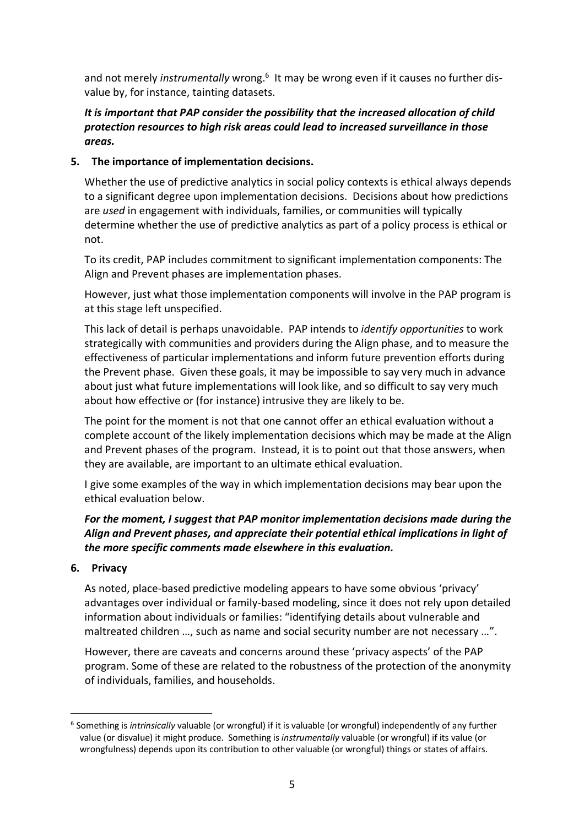and not merely *instrumentally* wrong.<sup>6</sup> It may be wrong even if it causes no further disvalue by, for instance, tainting datasets.

## *It is important that PAP consider the possibility that the increased allocation of child protection resources to high risk areas could lead to increased surveillance in those areas.*

## **5. The importance of implementation decisions.**

Whether the use of predictive analytics in social policy contexts is ethical always depends to a significant degree upon implementation decisions. Decisions about how predictions are *used* in engagement with individuals, families, or communities will typically determine whether the use of predictive analytics as part of a policy process is ethical or not.

To its credit, PAP includes commitment to significant implementation components: The Align and Prevent phases are implementation phases.

However, just what those implementation components will involve in the PAP program is at this stage left unspecified.

This lack of detail is perhaps unavoidable. PAP intends to *identify opportunities* to work strategically with communities and providers during the Align phase, and to measure the effectiveness of particular implementations and inform future prevention efforts during the Prevent phase. Given these goals, it may be impossible to say very much in advance about just what future implementations will look like, and so difficult to say very much about how effective or (for instance) intrusive they are likely to be.

The point for the moment is not that one cannot offer an ethical evaluation without a complete account of the likely implementation decisions which may be made at the Align and Prevent phases of the program. Instead, it is to point out that those answers, when they are available, are important to an ultimate ethical evaluation.

I give some examples of the way in which implementation decisions may bear upon the ethical evaluation below.

## *For the moment, I suggest that PAP monitor implementation decisions made during the Align and Prevent phases, and appreciate their potential ethical implications in light of the more specific comments made elsewhere in this evaluation.*

#### **6. Privacy**

As noted, place-based predictive modeling appears to have some obvious 'privacy' advantages over individual or family-based modeling, since it does not rely upon detailed information about individuals or families: "identifying details about vulnerable and maltreated children …, such as name and social security number are not necessary …".

However, there are caveats and concerns around these 'privacy aspects' of the PAP program. Some of these are related to the robustness of the protection of the anonymity of individuals, families, and households.

 $\overline{a}$ <sup>6</sup> Something is *intrinsically* valuable (or wrongful) if it is valuable (or wrongful) independently of any further value (or disvalue) it might produce. Something is *instrumentally* valuable (or wrongful) if its value (or wrongfulness) depends upon its contribution to other valuable (or wrongful) things or states of affairs.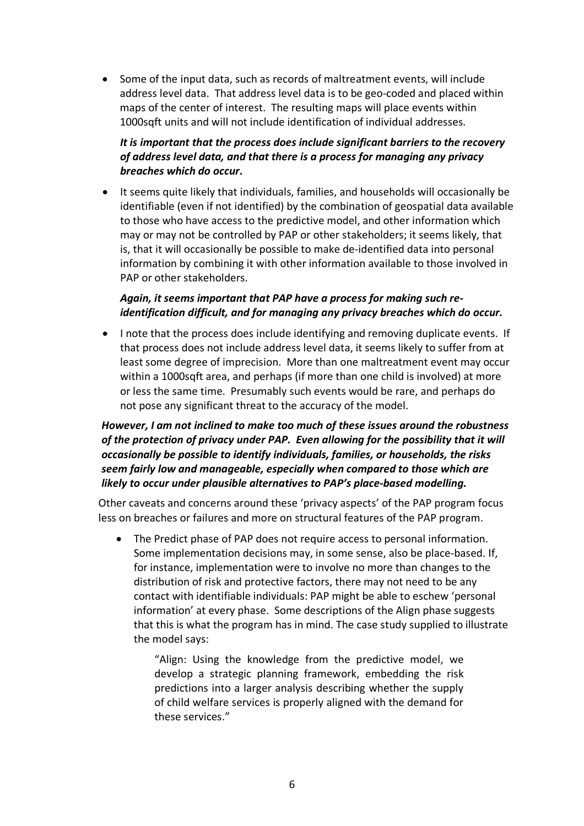• Some of the input data, such as records of maltreatment events, will include address level data. That address level data is to be geo-coded and placed within maps of the center of interest. The resulting maps will place events within 1000sqft units and will not include identification of individual addresses.

## *It is important that the process does include significant barriers to the recovery of address level data, and that there is a process for managing any privacy breaches which do occur***.**

• It seems quite likely that individuals, families, and households will occasionally be identifiable (even if not identified) by the combination of geospatial data available to those who have access to the predictive model, and other information which may or may not be controlled by PAP or other stakeholders; it seems likely, that is, that it will occasionally be possible to make de-identified data into personal information by combining it with other information available to those involved in PAP or other stakeholders.

## *Again, it seems important that PAP have a process for making such reidentification difficult, and for managing any privacy breaches which do occur.*

• I note that the process does include identifying and removing duplicate events. If that process does not include address level data, it seems likely to suffer from at least some degree of imprecision. More than one maltreatment event may occur within a 1000sqft area, and perhaps (if more than one child is involved) at more or less the same time. Presumably such events would be rare, and perhaps do not pose any significant threat to the accuracy of the model.

## *However, I am not inclined to make too much of these issues around the robustness of the protection of privacy under PAP. Even allowing for the possibility that it will occasionally be possible to identify individuals, families, or households, the risks seem fairly low and manageable, especially when compared to those which are likely to occur under plausible alternatives to PAP's place-based modelling.*

Other caveats and concerns around these 'privacy aspects' of the PAP program focus less on breaches or failures and more on structural features of the PAP program.

The Predict phase of PAP does not require access to personal information. Some implementation decisions may, in some sense, also be place-based. If, for instance, implementation were to involve no more than changes to the distribution of risk and protective factors, there may not need to be any contact with identifiable individuals: PAP might be able to eschew 'personal information' at every phase. Some descriptions of the Align phase suggests that this is what the program has in mind. The case study supplied to illustrate the model says:

"Align: Using the knowledge from the predictive model, we develop a strategic planning framework, embedding the risk predictions into a larger analysis describing whether the supply of child welfare services is properly aligned with the demand for these services."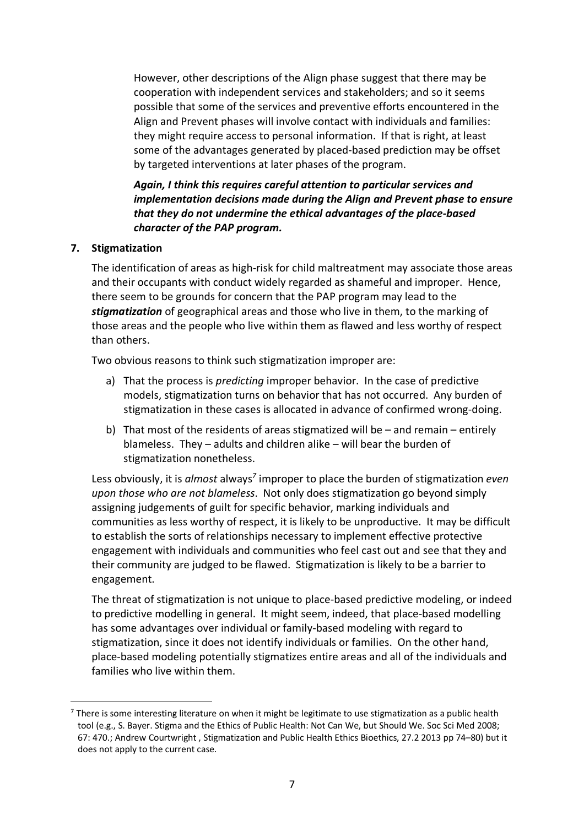However, other descriptions of the Align phase suggest that there may be cooperation with independent services and stakeholders; and so it seems possible that some of the services and preventive efforts encountered in the Align and Prevent phases will involve contact with individuals and families: they might require access to personal information. If that is right, at least some of the advantages generated by placed-based prediction may be offset by targeted interventions at later phases of the program.

*Again, I think this requires careful attention to particular services and implementation decisions made during the Align and Prevent phase to ensure that they do not undermine the ethical advantages of the place-based character of the PAP program.*

#### **7. Stigmatization**

 $\overline{a}$ 

The identification of areas as high-risk for child maltreatment may associate those areas and their occupants with conduct widely regarded as shameful and improper. Hence, there seem to be grounds for concern that the PAP program may lead to the *stigmatization* of geographical areas and those who live in them, to the marking of those areas and the people who live within them as flawed and less worthy of respect than others.

Two obvious reasons to think such stigmatization improper are:

- a) That the process is *predicting* improper behavior. In the case of predictive models, stigmatization turns on behavior that has not occurred. Any burden of stigmatization in these cases is allocated in advance of confirmed wrong-doing.
- b) That most of the residents of areas stigmatized will be and remain entirely blameless. They – adults and children alike – will bear the burden of stigmatization nonetheless.

Less obviously, it is *almost* always*<sup>7</sup>* improper to place the burden of stigmatization *even upon those who are not blameless*. Not only does stigmatization go beyond simply assigning judgements of guilt for specific behavior, marking individuals and communities as less worthy of respect, it is likely to be unproductive. It may be difficult to establish the sorts of relationships necessary to implement effective protective engagement with individuals and communities who feel cast out and see that they and their community are judged to be flawed. Stigmatization is likely to be a barrier to engagement.

The threat of stigmatization is not unique to place-based predictive modeling, or indeed to predictive modelling in general. It might seem, indeed, that place-based modelling has some advantages over individual or family-based modeling with regard to stigmatization, since it does not identify individuals or families. On the other hand, place-based modeling potentially stigmatizes entire areas and all of the individuals and families who live within them.

 $7$  There is some interesting literature on when it might be legitimate to use stigmatization as a public health tool (e.g., S. Bayer. Stigma and the Ethics of Public Health: Not Can We, but Should We. Soc Sci Med 2008; 67: 470.; Andrew Courtwright , Stigmatization and Public Health Ethics Bioethics, 27.2 2013 pp 74–80) but it does not apply to the current case.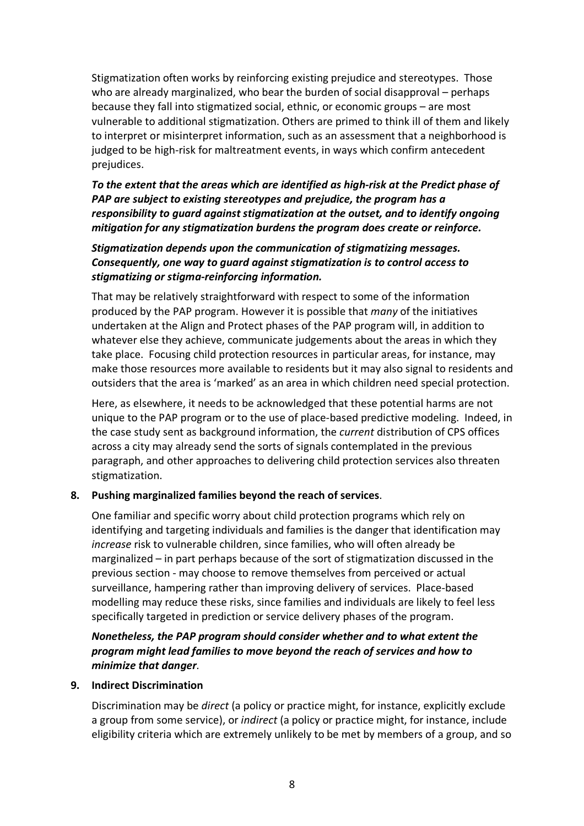Stigmatization often works by reinforcing existing prejudice and stereotypes. Those who are already marginalized, who bear the burden of social disapproval – perhaps because they fall into stigmatized social, ethnic, or economic groups – are most vulnerable to additional stigmatization. Others are primed to think ill of them and likely to interpret or misinterpret information, such as an assessment that a neighborhood is judged to be high-risk for maltreatment events, in ways which confirm antecedent prejudices.

*To the extent that the areas which are identified as high-risk at the Predict phase of PAP are subject to existing stereotypes and prejudice, the program has a responsibility to guard against stigmatization at the outset, and to identify ongoing mitigation for any stigmatization burdens the program does create or reinforce.*

*Stigmatization depends upon the communication of stigmatizing messages. Consequently, one way to guard against stigmatization is to control access to stigmatizing or stigma-reinforcing information.* 

That may be relatively straightforward with respect to some of the information produced by the PAP program. However it is possible that *many* of the initiatives undertaken at the Align and Protect phases of the PAP program will, in addition to whatever else they achieve, communicate judgements about the areas in which they take place. Focusing child protection resources in particular areas, for instance, may make those resources more available to residents but it may also signal to residents and outsiders that the area is 'marked' as an area in which children need special protection.

Here, as elsewhere, it needs to be acknowledged that these potential harms are not unique to the PAP program or to the use of place-based predictive modeling. Indeed, in the case study sent as background information, the *current* distribution of CPS offices across a city may already send the sorts of signals contemplated in the previous paragraph, and other approaches to delivering child protection services also threaten stigmatization.

#### **8. Pushing marginalized families beyond the reach of services**.

One familiar and specific worry about child protection programs which rely on identifying and targeting individuals and families is the danger that identification may *increase* risk to vulnerable children, since families, who will often already be marginalized – in part perhaps because of the sort of stigmatization discussed in the previous section - may choose to remove themselves from perceived or actual surveillance, hampering rather than improving delivery of services. Place-based modelling may reduce these risks, since families and individuals are likely to feel less specifically targeted in prediction or service delivery phases of the program.

*Nonetheless, the PAP program should consider whether and to what extent the program might lead families to move beyond the reach of services and how to minimize that danger.*

#### **9. Indirect Discrimination**

Discrimination may be *direct* (a policy or practice might, for instance, explicitly exclude a group from some service), or *indirect* (a policy or practice might, for instance, include eligibility criteria which are extremely unlikely to be met by members of a group, and so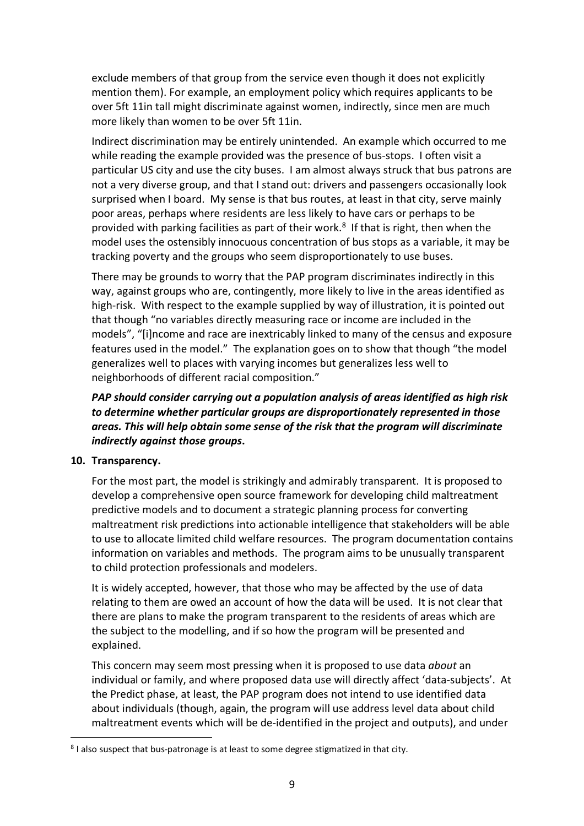exclude members of that group from the service even though it does not explicitly mention them). For example, an employment policy which requires applicants to be over 5ft 11in tall might discriminate against women, indirectly, since men are much more likely than women to be over 5ft 11in.

Indirect discrimination may be entirely unintended. An example which occurred to me while reading the example provided was the presence of bus-stops. I often visit a particular US city and use the city buses. I am almost always struck that bus patrons are not a very diverse group, and that I stand out: drivers and passengers occasionally look surprised when I board. My sense is that bus routes, at least in that city, serve mainly poor areas, perhaps where residents are less likely to have cars or perhaps to be provided with parking facilities as part of their work.<sup>8</sup> If that is right, then when the model uses the ostensibly innocuous concentration of bus stops as a variable, it may be tracking poverty and the groups who seem disproportionately to use buses.

There may be grounds to worry that the PAP program discriminates indirectly in this way, against groups who are, contingently, more likely to live in the areas identified as high-risk. With respect to the example supplied by way of illustration, it is pointed out that though "no variables directly measuring race or income are included in the models", "[i]ncome and race are inextricably linked to many of the census and exposure features used in the model." The explanation goes on to show that though "the model generalizes well to places with varying incomes but generalizes less well to neighborhoods of different racial composition."

*PAP should consider carrying out a population analysis of areas identified as high risk to determine whether particular groups are disproportionately represented in those areas. This will help obtain some sense of the risk that the program will discriminate indirectly against those groups***.**

#### **10. Transparency.**

 $\overline{a}$ 

For the most part, the model is strikingly and admirably transparent. It is proposed to develop a comprehensive open source framework for developing child maltreatment predictive models and to document a strategic planning process for converting maltreatment risk predictions into actionable intelligence that stakeholders will be able to use to allocate limited child welfare resources. The program documentation contains information on variables and methods. The program aims to be unusually transparent to child protection professionals and modelers.

It is widely accepted, however, that those who may be affected by the use of data relating to them are owed an account of how the data will be used. It is not clear that there are plans to make the program transparent to the residents of areas which are the subject to the modelling, and if so how the program will be presented and explained.

This concern may seem most pressing when it is proposed to use data *about* an individual or family, and where proposed data use will directly affect 'data-subjects'. At the Predict phase, at least, the PAP program does not intend to use identified data about individuals (though, again, the program will use address level data about child maltreatment events which will be de-identified in the project and outputs), and under

<sup>&</sup>lt;sup>8</sup> I also suspect that bus-patronage is at least to some degree stigmatized in that city.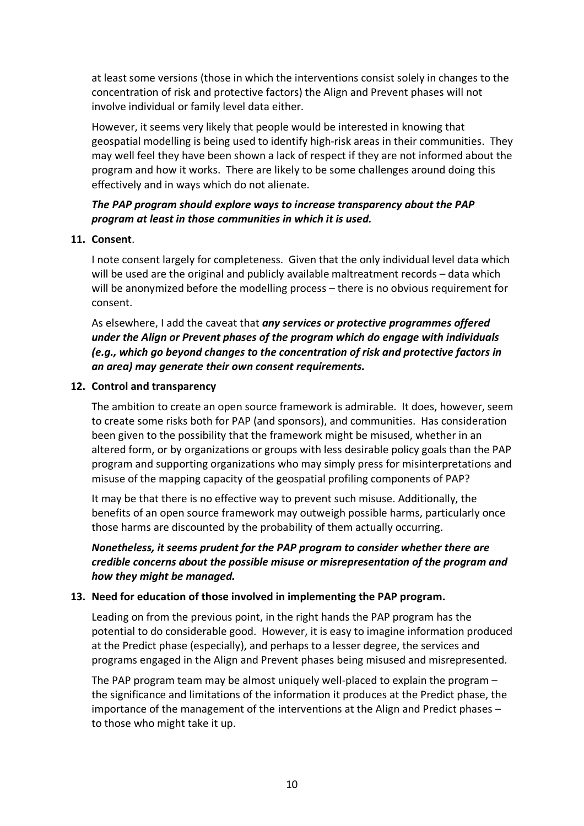at least some versions (those in which the interventions consist solely in changes to the concentration of risk and protective factors) the Align and Prevent phases will not involve individual or family level data either.

However, it seems very likely that people would be interested in knowing that geospatial modelling is being used to identify high-risk areas in their communities. They may well feel they have been shown a lack of respect if they are not informed about the program and how it works. There are likely to be some challenges around doing this effectively and in ways which do not alienate.

#### *The PAP program should explore ways to increase transparency about the PAP program at least in those communities in which it is used.*

#### **11. Consent**.

I note consent largely for completeness. Given that the only individual level data which will be used are the original and publicly available maltreatment records – data which will be anonymized before the modelling process – there is no obvious requirement for consent.

As elsewhere, I add the caveat that *any services or protective programmes offered under the Align or Prevent phases of the program which do engage with individuals (e.g., which go beyond changes to the concentration of risk and protective factors in an area) may generate their own consent requirements.*

#### **12. Control and transparency**

The ambition to create an open source framework is admirable. It does, however, seem to create some risks both for PAP (and sponsors), and communities. Has consideration been given to the possibility that the framework might be misused, whether in an altered form, or by organizations or groups with less desirable policy goals than the PAP program and supporting organizations who may simply press for misinterpretations and misuse of the mapping capacity of the geospatial profiling components of PAP?

It may be that there is no effective way to prevent such misuse. Additionally, the benefits of an open source framework may outweigh possible harms, particularly once those harms are discounted by the probability of them actually occurring.

## *Nonetheless, it seems prudent for the PAP program to consider whether there are credible concerns about the possible misuse or misrepresentation of the program and how they might be managed.*

#### **13. Need for education of those involved in implementing the PAP program.**

Leading on from the previous point, in the right hands the PAP program has the potential to do considerable good. However, it is easy to imagine information produced at the Predict phase (especially), and perhaps to a lesser degree, the services and programs engaged in the Align and Prevent phases being misused and misrepresented.

The PAP program team may be almost uniquely well-placed to explain the program – the significance and limitations of the information it produces at the Predict phase, the importance of the management of the interventions at the Align and Predict phases – to those who might take it up.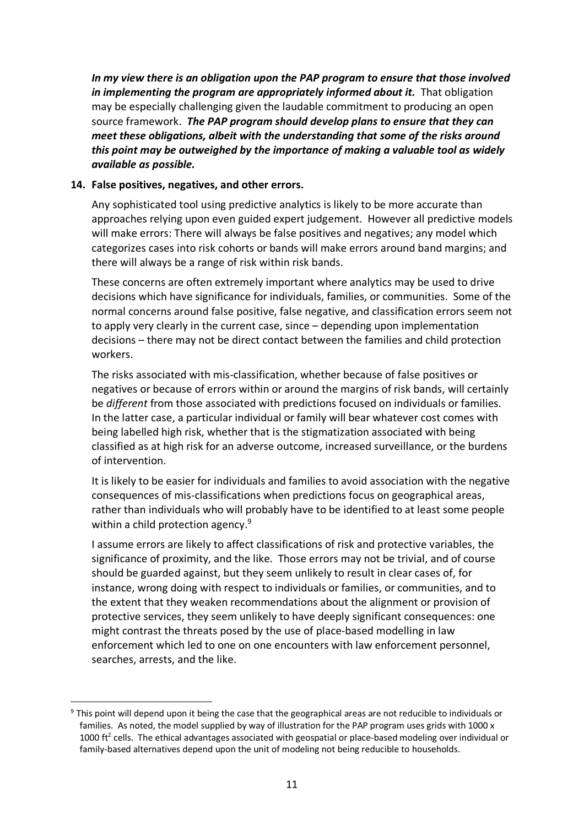*In my view there is an obligation upon the PAP program to ensure that those involved in implementing the program are appropriately informed about it.* That obligation may be especially challenging given the laudable commitment to producing an open source framework. *The PAP program should develop plans to ensure that they can meet these obligations, albeit with the understanding that some of the risks around this point may be outweighed by the importance of making a valuable tool as widely available as possible.*

#### **14. False positives, negatives, and other errors.**

 $\overline{a}$ 

Any sophisticated tool using predictive analytics is likely to be more accurate than approaches relying upon even guided expert judgement. However all predictive models will make errors: There will always be false positives and negatives; any model which categorizes cases into risk cohorts or bands will make errors around band margins; and there will always be a range of risk within risk bands.

These concerns are often extremely important where analytics may be used to drive decisions which have significance for individuals, families, or communities.Some of the normal concerns around false positive, false negative, and classification errors seem not to apply very clearly in the current case, since – depending upon implementation decisions – there may not be direct contact between the families and child protection workers.

The risks associated with mis-classification, whether because of false positives or negatives or because of errors within or around the margins of risk bands, will certainly be *different* from those associated with predictions focused on individuals or families. In the latter case, a particular individual or family will bear whatever cost comes with being labelled high risk, whether that is the stigmatization associated with being classified as at high risk for an adverse outcome, increased surveillance, or the burdens of intervention.

It is likely to be easier for individuals and families to avoid association with the negative consequences of mis-classifications when predictions focus on geographical areas, rather than individuals who will probably have to be identified to at least some people within a child protection agency.<sup>9</sup>

I assume errors are likely to affect classifications of risk and protective variables, the significance of proximity, and the like. Those errors may not be trivial, and of course should be guarded against, but they seem unlikely to result in clear cases of, for instance, wrong doing with respect to individuals or families, or communities, and to the extent that they weaken recommendations about the alignment or provision of protective services, they seem unlikely to have deeply significant consequences: one might contrast the threats posed by the use of place-based modelling in law enforcement which led to one on one encounters with law enforcement personnel, searches, arrests, and the like.

<sup>&</sup>lt;sup>9</sup> This point will depend upon it being the case that the geographical areas are not reducible to individuals or families. As noted, the model supplied by way of illustration for the PAP program uses grids with 1000 x 1000 ft<sup>2</sup> cells. The ethical advantages associated with geospatial or place-based modeling over individual or family-based alternatives depend upon the unit of modeling not being reducible to households.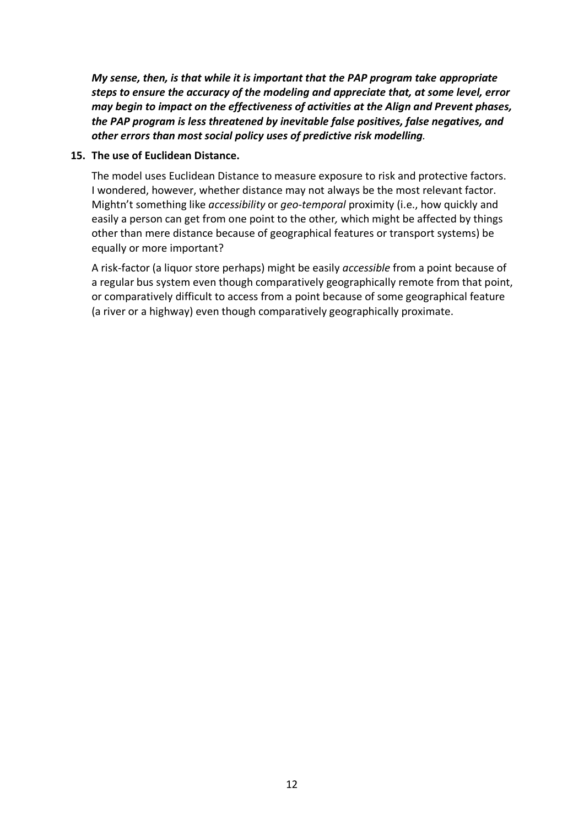*My sense, then, is that while it is important that the PAP program take appropriate steps to ensure the accuracy of the modeling and appreciate that, at some level, error may begin to impact on the effectiveness of activities at the Align and Prevent phases, the PAP program is less threatened by inevitable false positives, false negatives, and other errors than most social policy uses of predictive risk modelling.*

#### **15. The use of Euclidean Distance.**

The model uses Euclidean Distance to measure exposure to risk and protective factors. I wondered, however, whether distance may not always be the most relevant factor. Mightn't something like *accessibility* or *geo-temporal* proximity (i.e., how quickly and easily a person can get from one point to the other*,* which might be affected by things other than mere distance because of geographical features or transport systems) be equally or more important?

A risk-factor (a liquor store perhaps) might be easily *accessible* from a point because of a regular bus system even though comparatively geographically remote from that point, or comparatively difficult to access from a point because of some geographical feature (a river or a highway) even though comparatively geographically proximate.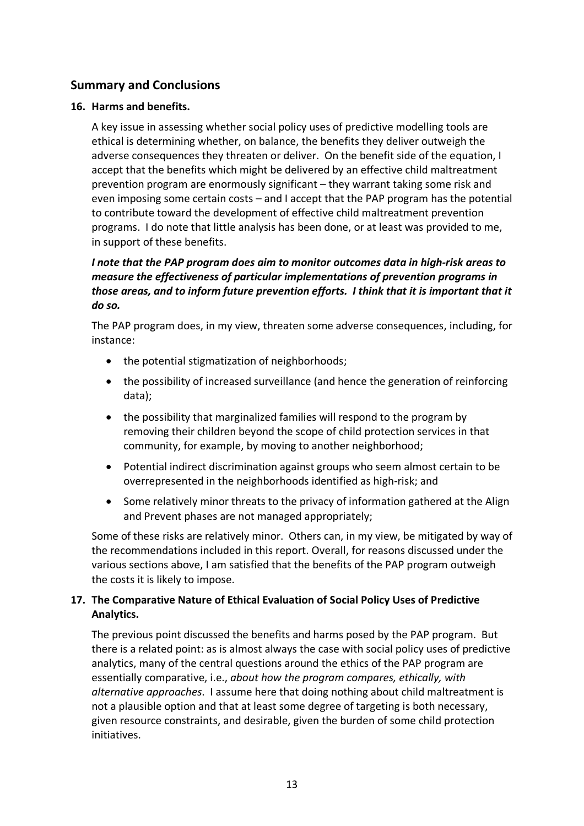## **Summary and Conclusions**

#### **16. Harms and benefits.**

A key issue in assessing whether social policy uses of predictive modelling tools are ethical is determining whether, on balance, the benefits they deliver outweigh the adverse consequences they threaten or deliver. On the benefit side of the equation, I accept that the benefits which might be delivered by an effective child maltreatment prevention program are enormously significant – they warrant taking some risk and even imposing some certain costs – and I accept that the PAP program has the potential to contribute toward the development of effective child maltreatment prevention programs. I do note that little analysis has been done, or at least was provided to me, in support of these benefits.

## *I note that the PAP program does aim to monitor outcomes data in high-risk areas to measure the effectiveness of particular implementations of prevention programs in those areas, and to inform future prevention efforts. I think that it is important that it do so.*

The PAP program does, in my view, threaten some adverse consequences, including, for instance:

- the potential stigmatization of neighborhoods;
- the possibility of increased surveillance (and hence the generation of reinforcing data);
- the possibility that marginalized families will respond to the program by removing their children beyond the scope of child protection services in that community, for example, by moving to another neighborhood;
- Potential indirect discrimination against groups who seem almost certain to be overrepresented in the neighborhoods identified as high-risk; and
- Some relatively minor threats to the privacy of information gathered at the Align and Prevent phases are not managed appropriately;

Some of these risks are relatively minor. Others can, in my view, be mitigated by way of the recommendations included in this report. Overall, for reasons discussed under the various sections above, I am satisfied that the benefits of the PAP program outweigh the costs it is likely to impose.

## **17. The Comparative Nature of Ethical Evaluation of Social Policy Uses of Predictive Analytics.**

The previous point discussed the benefits and harms posed by the PAP program. But there is a related point: as is almost always the case with social policy uses of predictive analytics, many of the central questions around the ethics of the PAP program are essentially comparative, i.e., *about how the program compares, ethically, with alternative approaches*. I assume here that doing nothing about child maltreatment is not a plausible option and that at least some degree of targeting is both necessary, given resource constraints, and desirable, given the burden of some child protection initiatives.